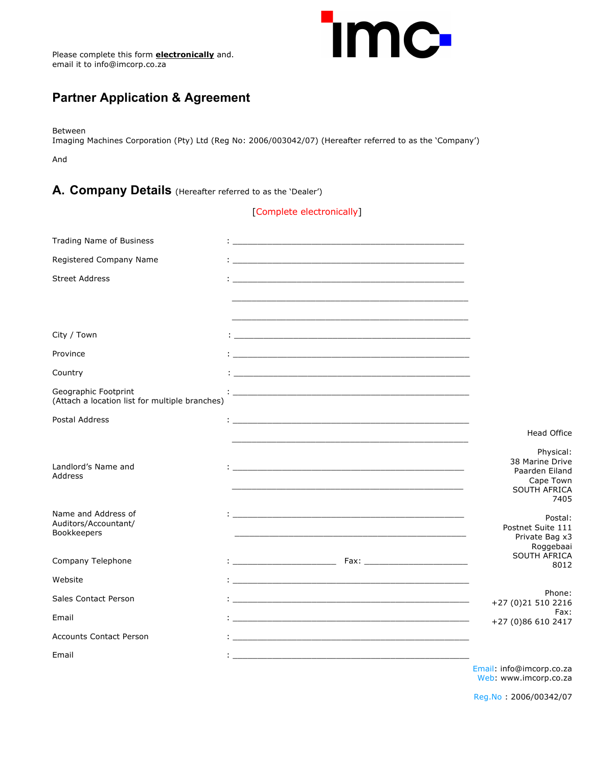

### **Partner Application & Agreement**

Between

Imaging Machines Corporation (Pty) Ltd (Reg No: 2006/003042/07) (Hereafter referred to as the 'Company')

And

#### **A. Company Details** (Hereafter referred to as the 'Dealer')

[Complete electronically]

| <b>Trading Name of Business</b>                                        | and the state of the state of the state of the state of the state of the state of the state of the                    |                                                                                            |
|------------------------------------------------------------------------|-----------------------------------------------------------------------------------------------------------------------|--------------------------------------------------------------------------------------------|
| Registered Company Name                                                |                                                                                                                       |                                                                                            |
| <b>Street Address</b>                                                  |                                                                                                                       |                                                                                            |
|                                                                        |                                                                                                                       |                                                                                            |
| City / Town                                                            |                                                                                                                       |                                                                                            |
| Province                                                               |                                                                                                                       |                                                                                            |
| Country                                                                |                                                                                                                       |                                                                                            |
| Geographic Footprint<br>(Attach a location list for multiple branches) | <u> 1980 - Johann Barn, mars ar breithinn ar chwaraeth a chwaraeth a chwaraeth a chwaraeth a chwaraeth a chwaraet</u> |                                                                                            |
| Postal Address                                                         |                                                                                                                       |                                                                                            |
|                                                                        |                                                                                                                       | <b>Head Office</b>                                                                         |
| Landlord's Name and<br>Address                                         |                                                                                                                       | Physical:<br>38 Marine Drive<br>Paarden Eiland<br>Cape Town<br><b>SOUTH AFRICA</b><br>7405 |
| Name and Address of<br>Auditors/Accountant/<br>Bookkeepers             | in the contract of the contract of the contract of the contract of the contract of the contract of the contract of    | Postal:<br>Postnet Suite 111<br>Private Bag x3<br>Roggebaai                                |
| Company Telephone                                                      |                                                                                                                       | SOUTH AFRICA<br>8012                                                                       |
| Website                                                                | the contract of the contract of the contract of the contract of the contract of the contract of the contract of       |                                                                                            |
| <b>Sales Contact Person</b>                                            |                                                                                                                       | Phone:<br>+27 (0)21 510 2216                                                               |
| Email                                                                  |                                                                                                                       | Fax:<br>+27 (0)86 610 2417                                                                 |
| <b>Accounts Contact Person</b>                                         | and the state of the state of the state of the state of the state of the state of the state of the                    |                                                                                            |
| Email                                                                  |                                                                                                                       | Email: info@imcorp.co.za                                                                   |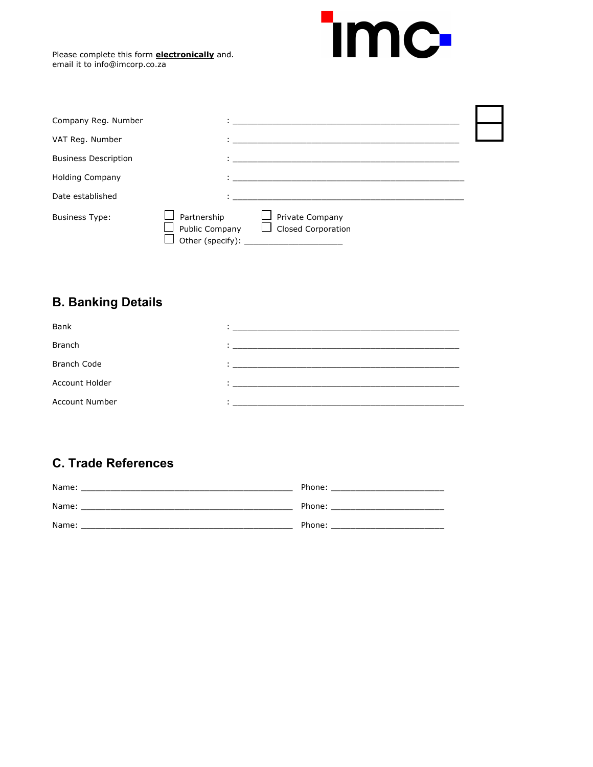

| Company Reg. Number         |                               |                                                |  |
|-----------------------------|-------------------------------|------------------------------------------------|--|
| VAT Reg. Number             |                               |                                                |  |
| <b>Business Description</b> |                               |                                                |  |
| <b>Holding Company</b>      |                               |                                                |  |
| Date established            |                               |                                                |  |
| <b>Business Type:</b>       | Partnership<br>Public Company | □ Private Company<br>$\Box$ Closed Corporation |  |

# **B. Banking Details**

| Bank                  |                                                           |
|-----------------------|-----------------------------------------------------------|
| <b>Branch</b>         | <u> 1989 - Jan Berlin, Amerikaansk politiker († 1908)</u> |
| <b>Branch Code</b>    |                                                           |
| <b>Account Holder</b> |                                                           |
| <b>Account Number</b> |                                                           |

## **C. Trade References**

| Name: | Phone: |
|-------|--------|
| Name: | Phone: |
| Name: | Phone: |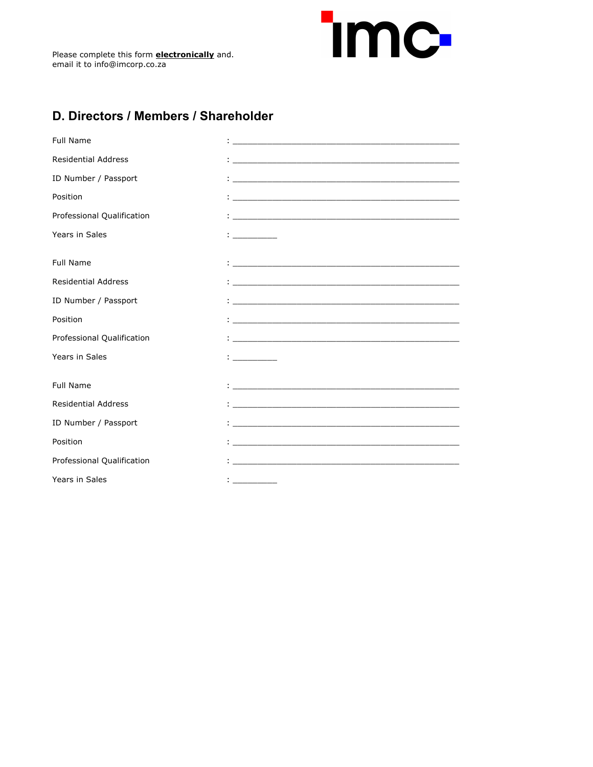

# **D. Directors / Members / Shareholder**

| <b>Full Name</b>           |                                                                                                                             |
|----------------------------|-----------------------------------------------------------------------------------------------------------------------------|
| <b>Residential Address</b> |                                                                                                                             |
| ID Number / Passport       |                                                                                                                             |
| Position                   | <u> 1986 - Johann Stein, marwolaethau a bhann an t-Amhair Aonaichte ann an t-Amhair Aonaichte ann an t-Amhair Aon</u>       |
| Professional Qualification | <u> 1980 - Johann Johann Stoff, deutscher Stoff und der Stoff und der Stoff und der Stoff und der Stoff und der S</u>       |
| Years in Sales             | the company of                                                                                                              |
|                            |                                                                                                                             |
| <b>Full Name</b>           |                                                                                                                             |
| <b>Residential Address</b> |                                                                                                                             |
| ID Number / Passport       | <u> 1980 - Johann Johann Stoff, deutscher Stoff und der Stoff und der Stoff und der Stoff und der Stoff und der S</u>       |
| Position                   | <u>.</u><br>1. marca – Jacob Barnett, marca anticologista e al contenente del contenente del contenente del contenente del  |
| Professional Qualification |                                                                                                                             |
| Years in Sales             |                                                                                                                             |
|                            |                                                                                                                             |
| <b>Full Name</b>           | the contract of the contract of the contract of the contract of the contract of the contract of                             |
| <b>Residential Address</b> | <u>.</u><br>1. marca – Jacob Barnett, amerikansk politik, fizik amerikansk politik, fizik amerikansk politik, fizik amerika |
| ID Number / Passport       | and the state of the state of the state of the state of the state of the state of the state of the                          |
| Position                   |                                                                                                                             |
| Professional Qualification |                                                                                                                             |
| Years in Sales             | and the company of                                                                                                          |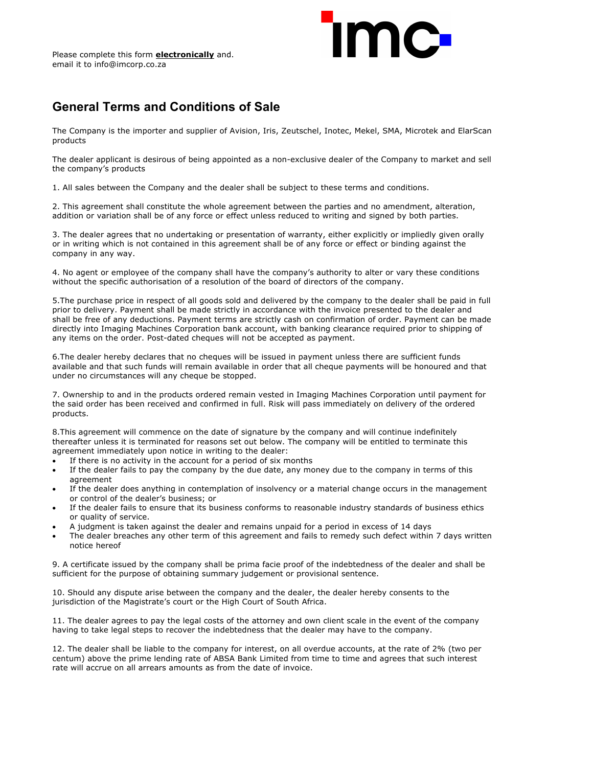# mc

#### **General Terms and Conditions of Sale**

The Company is the importer and supplier of Avision, Iris, Zeutschel, Inotec, Mekel, SMA, Microtek and ElarScan products

The dealer applicant is desirous of being appointed as a non-exclusive dealer of the Company to market and sell the company's products

1. All sales between the Company and the dealer shall be subject to these terms and conditions.

2. This agreement shall constitute the whole agreement between the parties and no amendment, alteration, addition or variation shall be of any force or effect unless reduced to writing and signed by both parties.

3. The dealer agrees that no undertaking or presentation of warranty, either explicitly or impliedly given orally or in writing which is not contained in this agreement shall be of any force or effect or binding against the company in any way.

4. No agent or employee of the company shall have the company's authority to alter or vary these conditions without the specific authorisation of a resolution of the board of directors of the company.

5.The purchase price in respect of all goods sold and delivered by the company to the dealer shall be paid in full prior to delivery. Payment shall be made strictly in accordance with the invoice presented to the dealer and shall be free of any deductions. Payment terms are strictly cash on confirmation of order. Payment can be made directly into Imaging Machines Corporation bank account, with banking clearance required prior to shipping of any items on the order. Post-dated cheques will not be accepted as payment.

6.The dealer hereby declares that no cheques will be issued in payment unless there are sufficient funds available and that such funds will remain available in order that all cheque payments will be honoured and that under no circumstances will any cheque be stopped.

7. Ownership to and in the products ordered remain vested in Imaging Machines Corporation until payment for the said order has been received and confirmed in full. Risk will pass immediately on delivery of the ordered products.

8.This agreement will commence on the date of signature by the company and will continue indefinitely thereafter unless it is terminated for reasons set out below. The company will be entitled to terminate this agreement immediately upon notice in writing to the dealer:

- If there is no activity in the account for a period of six months
- If the dealer fails to pay the company by the due date, any money due to the company in terms of this agreement
- If the dealer does anything in contemplation of insolvency or a material change occurs in the management or control of the dealer's business; or
- If the dealer fails to ensure that its business conforms to reasonable industry standards of business ethics or quality of service.
- A judgment is taken against the dealer and remains unpaid for a period in excess of 14 days
- The dealer breaches any other term of this agreement and fails to remedy such defect within 7 days written notice hereof

9. A certificate issued by the company shall be prima facie proof of the indebtedness of the dealer and shall be sufficient for the purpose of obtaining summary judgement or provisional sentence.

10. Should any dispute arise between the company and the dealer, the dealer hereby consents to the jurisdiction of the Magistrate's court or the High Court of South Africa.

11. The dealer agrees to pay the legal costs of the attorney and own client scale in the event of the company having to take legal steps to recover the indebtedness that the dealer may have to the company.

12. The dealer shall be liable to the company for interest, on all overdue accounts, at the rate of 2% (two per centum) above the prime lending rate of ABSA Bank Limited from time to time and agrees that such interest rate will accrue on all arrears amounts as from the date of invoice.